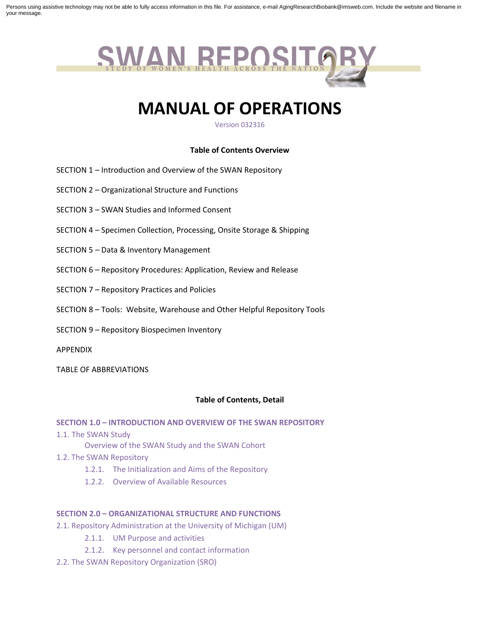Persons using assistive technology may not be able to fully access information in this file. For assistance, e-mail AgingResearchBiobank@imsweb.com. Include the website and filename in your message.



# **MANUAL OF OPERATIONS**

Version 032316

### **Table of Contents Overview**

- SECTION 1 Introduction and Overview of the SWAN Repository
- SECTION 2 Organizational Structure and Functions
- SECTION 3 SWAN Studies and Informed Consent
- SECTION 4 Specimen Collection, Processing, Onsite Storage & Shipping
- SECTION 5 Data & Inventory Management
- SECTION 6 Repository Procedures: Application, Review and Release
- SECTION 7 Repository Practices and Policies
- SECTION 8 Tools: Website, Warehouse and Other Helpful Repository Tools
- SECTION 9 Repository Biospecimen Inventory
- APPENDIX
- TABLE OF ABBREVIATIONS

#### **Table of Contents, Detail**

#### **SECTION 1.0 – INTRODUCTION AND OVERVIEW OF THE SWAN REPOSITORY**

1.1. The SWAN Study

Overview of the SWAN Study and the SWAN Cohort

- 1.2. The SWAN Repository
	- 1.2.1. The Initialization and Aims of the Repository
	- 1.2.2. Overview of Available Resources

## **SECTION 2.0 – ORGANIZATIONAL STRUCTURE AND FUNCTIONS**

- 2.1. Repository Administration at the University of Michigan (UM)
	- 2.1.1. UM Purpose and activities
	- 2.1.2. Key personnel and contact information
- 2.2. The SWAN Repository Organization (SRO)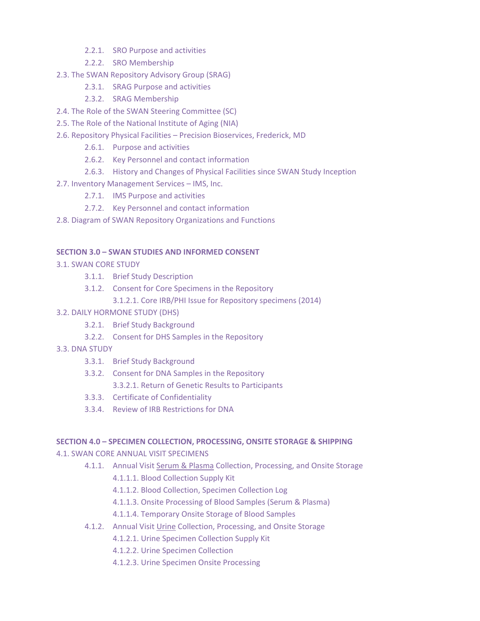- 2.2.1. SRO Purpose and activities
- 2.2.2. SRO Membership
- 2.3. The SWAN Repository Advisory Group (SRAG)
	- 2.3.1. SRAG Purpose and activities
	- 2.3.2. SRAG Membership
- 2.4. The Role of the SWAN Steering Committee (SC)
- 2.5. The Role of the National Institute of Aging (NIA)
- 2.6. Repository Physical Facilities Precision Bioservices, Frederick, MD
	- 2.6.1. Purpose and activities
	- 2.6.2. Key Personnel and contact information
	- 2.6.3. History and Changes of Physical Facilities since SWAN Study Inception
- 2.7. Inventory Management Services IMS, Inc.
	- 2.7.1. IMS Purpose and activities
	- 2.7.2. Key Personnel and contact information
- 2.8. Diagram of SWAN Repository Organizations and Functions

## **SECTION 3.0 – SWAN STUDIES AND INFORMED CONSENT**

- 3.1. SWAN CORE STUDY
	- 3.1.1. Brief Study Description
	- 3.1.2. Consent for Core Specimens in the Repository
		- 3.1.2.1. Core IRB/PHI Issue for Repository specimens (2014)

## 3.2. DAILY HORMONE STUDY (DHS)

- 3.2.1. Brief Study Background
- 3.2.2. Consent for DHS Samples in the Repository
- 3.3. DNA STUDY
	- 3.3.1. Brief Study Background
	- 3.3.2. Consent for DNA Samples in the Repository
		- 3.3.2.1. Return of Genetic Results to Participants
	- 3.3.3. Certificate of Confidentiality
	- 3.3.4. Review of IRB Restrictions for DNA

## **SECTION 4.0 – SPECIMEN COLLECTION, PROCESSING, ONSITE STORAGE & SHIPPING**

## 4.1. SWAN CORE ANNUAL VISIT SPECIMENS

- 4.1.1. Annual Visit Serum & Plasma Collection, Processing, and Onsite Storage
	- 4.1.1.1. Blood Collection Supply Kit
	- 4.1.1.2. Blood Collection, Specimen Collection Log
	- 4.1.1.3. Onsite Processing of Blood Samples (Serum & Plasma)
	- 4.1.1.4. Temporary Onsite Storage of Blood Samples
- 4.1.2. Annual Visit Urine Collection, Processing, and Onsite Storage
	- 4.1.2.1. Urine Specimen Collection Supply Kit
	- 4.1.2.2. Urine Specimen Collection
	- 4.1.2.3. Urine Specimen Onsite Processing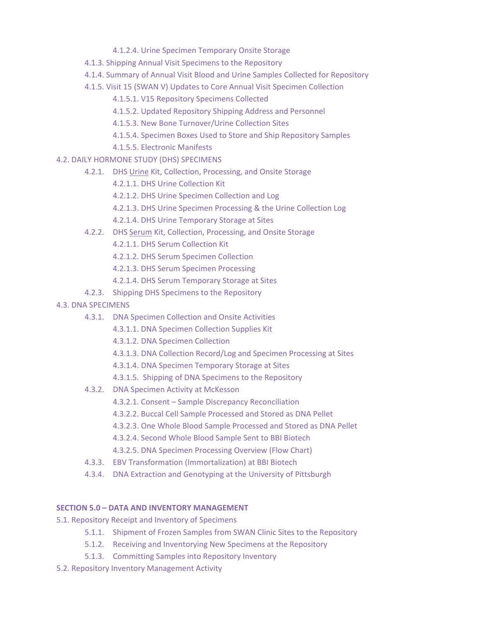- 4.1.2.4. Urine Specimen Temporary Onsite Storage
- 4.1.3. Shipping Annual Visit Specimens to the Repository
- 4.1.4. Summary of Annual Visit Blood and Urine Samples Collected for Repository
- 4.1.5. Visit 15 (SWAN V) Updates to Core Annual Visit Specimen Collection
	- 4.1.5.1. V15 Repository Specimens Collected
	- 4.1.5.2. Updated Repository Shipping Address and Personnel
	- 4.1.5.3. New Bone Turnover/Urine Collection Sites
	- 4.1.5.4. Specimen Boxes Used to Store and Ship Repository Samples
	- 4.1.5.5. Electronic Manifests
- 4.2. DAILY HORMONE STUDY (DHS) SPECIMENS
	- 4.2.1. DHS Urine Kit, Collection, Processing, and Onsite Storage
		- 4.2.1.1. DHS Urine Collection Kit
		- 4.2.1.2. DHS Urine Specimen Collection and Log
		- 4.2.1.3. DHS Urine Specimen Processing & the Urine Collection Log
		- 4.2.1.4. DHS Urine Temporary Storage at Sites
	- 4.2.2. DHS Serum Kit, Collection, Processing, and Onsite Storage
		- 4.2.1.1. DHS Serum Collection Kit
		- 4.2.1.2. DHS Serum Specimen Collection
		- 4.2.1.3. DHS Serum Specimen Processing
		- 4.2.1.4. DHS Serum Temporary Storage at Sites
	- 4.2.3. Shipping DHS Specimens to the Repository
- 4.3. DNA SPECIMENS
	- 4.3.1. DNA Specimen Collection and Onsite Activities
		- 4.3.1.1. DNA Specimen Collection Supplies Kit
		- 4.3.1.2. DNA Specimen Collection
		- 4.3.1.3. DNA Collection Record/Log and Specimen Processing at Sites
		- 4.3.1.4. DNA Specimen Temporary Storage at Sites
		- 4.3.1.5. Shipping of DNA Specimens to the Repository
	- 4.3.2. DNA Specimen Activity at McKesson
		- 4.3.2.1. Consent Sample Discrepancy Reconciliation
		- 4.3.2.2. Buccal Cell Sample Processed and Stored as DNA Pellet
		- 4.3.2.3. One Whole Blood Sample Processed and Stored as DNA Pellet
		- 4.3.2.4. Second Whole Blood Sample Sent to BBI Biotech
		- 4.3.2.5. DNA Specimen Processing Overview (Flow Chart)
	- 4.3.3. EBV Transformation (Immortalization) at BBI Biotech
	- 4.3.4. DNA Extraction and Genotyping at the University of Pittsburgh

## **SECTION 5.0 – DATA AND INVENTORY MANAGEMENT**

- 5.1. Repository Receipt and Inventory of Specimens
	- 5.1.1. Shipment of Frozen Samples from SWAN Clinic Sites to the Repository
	- 5.1.2. Receiving and Inventorying New Specimens at the Repository
	- 5.1.3. Committing Samples into Repository Inventory
- 5.2. Repository Inventory Management Activity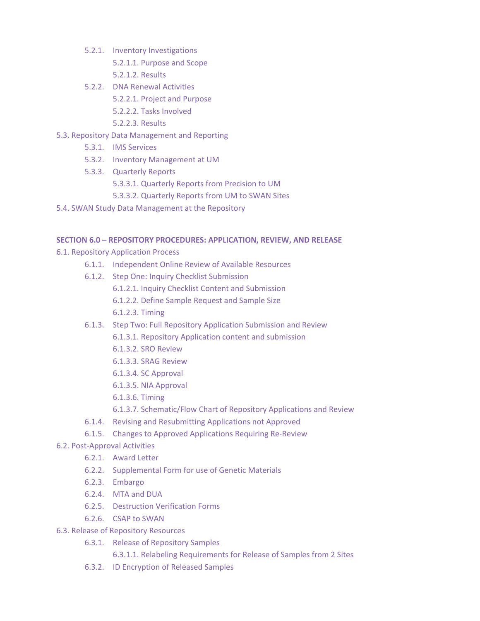- 5.2.1. Inventory Investigations
	- 5.2.1.1. Purpose and Scope
	- 5.2.1.2. Results
- 5.2.2. DNA Renewal Activities
	- 5.2.2.1. Project and Purpose
	- 5.2.2.2. Tasks Involved
	- 5.2.2.3. Results
- 5.3. Repository Data Management and Reporting
	- 5.3.1. IMS Services
	- 5.3.2. Inventory Management at UM
	- 5.3.3. Quarterly Reports
		- 5.3.3.1. Quarterly Reports from Precision to UM
		- 5.3.3.2. Quarterly Reports from UM to SWAN Sites
- 5.4. SWAN Study Data Management at the Repository

## **SECTION 6.0 – REPOSITORY PROCEDURES: APPLICATION, REVIEW, AND RELEASE**

- 6.1. Repository Application Process
	- 6.1.1. Independent Online Review of Available Resources
	- 6.1.2. Step One: Inquiry Checklist Submission
		- 6.1.2.1. Inquiry Checklist Content and Submission
		- 6.1.2.2. Define Sample Request and Sample Size
		- 6.1.2.3. Timing
	- 6.1.3. Step Two: Full Repository Application Submission and Review
		- 6.1.3.1. Repository Application content and submission
		- 6.1.3.2. SRO Review
		- 6.1.3.3. SRAG Review
		- 6.1.3.4. SC Approval
		- 6.1.3.5. NIA Approval
		- 6.1.3.6. Timing
		- 6.1.3.7. Schematic/Flow Chart of Repository Applications and Review
	- 6.1.4. Revising and Resubmitting Applications not Approved
	- 6.1.5. Changes to Approved Applications Requiring Re-Review
- 6.2. Post-Approval Activities
	- 6.2.1. Award Letter
	- 6.2.2. Supplemental Form for use of Genetic Materials
	- 6.2.3. Embargo
	- 6.2.4. MTA and DUA
	- 6.2.5. Destruction Verification Forms
	- 6.2.6. CSAP to SWAN
- 6.3. Release of Repository Resources
	- 6.3.1. Release of Repository Samples
		- 6.3.1.1. Relabeling Requirements for Release of Samples from 2 Sites
	- 6.3.2. ID Encryption of Released Samples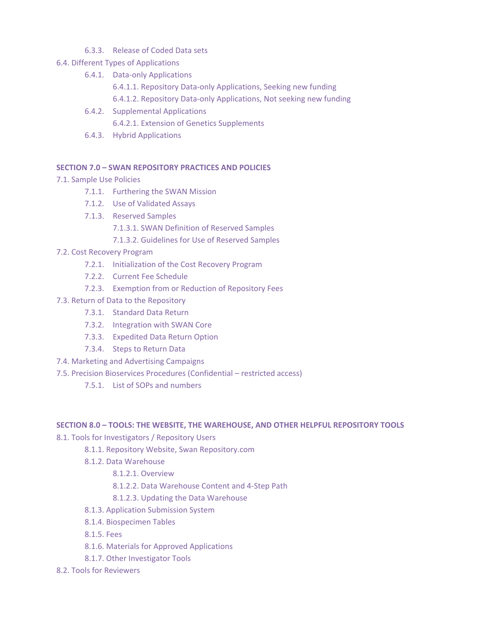- 6.3.3. Release of Coded Data sets
- 6.4. Different Types of Applications
	- 6.4.1. Data-only Applications
		- 6.4.1.1. Repository Data-only Applications, Seeking new funding
		- 6.4.1.2. Repository Data-only Applications, Not seeking new funding
	- 6.4.2. Supplemental Applications 6.4.2.1. Extension of Genetics Supplements
	- 6.4.3. Hybrid Applications

## **SECTION 7.0 – SWAN REPOSITORY PRACTICES AND POLICIES**

- 7.1. Sample Use Policies
	- 7.1.1. Furthering the SWAN Mission
	- 7.1.2. Use of Validated Assays
	- 7.1.3. Reserved Samples
		- 7.1.3.1. SWAN Definition of Reserved Samples
		- 7.1.3.2. Guidelines for Use of Reserved Samples

## 7.2. Cost Recovery Program

- 7.2.1. Initialization of the Cost Recovery Program
- 7.2.2. Current Fee Schedule
- 7.2.3. Exemption from or Reduction of Repository Fees
- 7.3. Return of Data to the Repository
	- 7.3.1. Standard Data Return
	- 7.3.2. Integration with SWAN Core
	- 7.3.3. Expedited Data Return Option
	- 7.3.4. Steps to Return Data
- 7.4. Marketing and Advertising Campaigns
- 7.5. Precision Bioservices Procedures (Confidential restricted access)
	- 7.5.1. List of SOPs and numbers

## **SECTION 8.0 – TOOLS: THE WEBSITE, THE WAREHOUSE, AND OTHER HELPFUL REPOSITORY TOOLS**

8.1. Tools for Investigators / Repository Users

- 8.1.1. Repository Website, Swan Repository.com
- 8.1.2. Data Warehouse
	- 8.1.2.1. Overview
	- 8.1.2.2. Data Warehouse Content and 4-Step Path
	- 8.1.2.3. Updating the Data Warehouse
- 8.1.3. Application Submission System
- 8.1.4. Biospecimen Tables
- 8.1.5. Fees
- 8.1.6. Materials for Approved Applications
- 8.1.7. Other Investigator Tools
- 8.2. Tools for Reviewers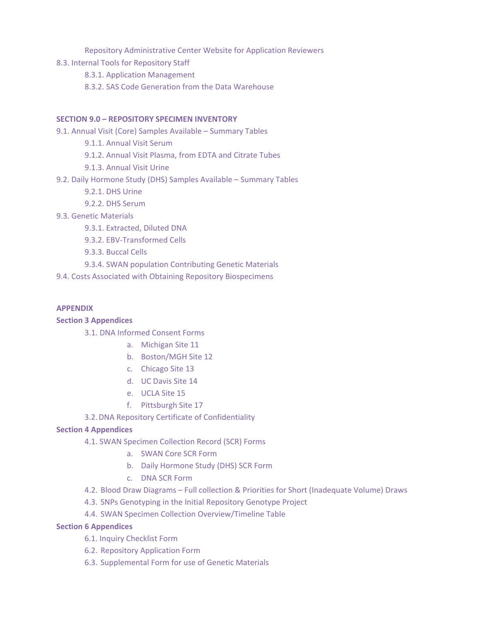Repository Administrative Center Website for Application Reviewers

8.3. Internal Tools for Repository Staff

8.3.1. Application Management

8.3.2. SAS Code Generation from the Data Warehouse

### **SECTION 9.0 – REPOSITORY SPECIMEN INVENTORY**

- 9.1. Annual Visit (Core) Samples Available Summary Tables
	- 9.1.1. Annual Visit Serum
	- 9.1.2. Annual Visit Plasma, from EDTA and Citrate Tubes
	- 9.1.3. Annual Visit Urine
- 9.2. Daily Hormone Study (DHS) Samples Available Summary Tables
	- 9.2.1. DHS Urine
	- 9.2.2. DHS Serum
- 9.3. Genetic Materials
	- 9.3.1. Extracted, Diluted DNA
	- 9.3.2. EBV-Transformed Cells
	- 9.3.3. Buccal Cells
	- 9.3.4. SWAN population Contributing Genetic Materials
- 9.4. Costs Associated with Obtaining Repository Biospecimens

#### **APPENDIX**

## **Section 3 Appendices**

3.1. DNA Informed Consent Forms

- a. Michigan Site 11
- b. Boston/MGH Site 12
- c. Chicago Site 13
- d. UC Davis Site 14
- e. UCLA Site 15
- f. Pittsburgh Site 17
- 3.2.DNA Repository Certificate of Confidentiality

## **Section 4 Appendices**

- 4.1. SWAN Specimen Collection Record (SCR) Forms
	- a. SWAN Core SCR Form
	- b. Daily Hormone Study (DHS) SCR Form
	- c. DNA SCR Form
- 4.2. Blood Draw Diagrams Full collection & Priorities for Short (Inadequate Volume) Draws
- 4.3. SNPs Genotyping in the Initial Repository Genotype Project
- 4.4. SWAN Specimen Collection Overview/Timeline Table

## **Section 6 Appendices**

- 6.1. Inquiry Checklist Form
- 6.2. Repository Application Form
- 6.3. Supplemental Form for use of Genetic Materials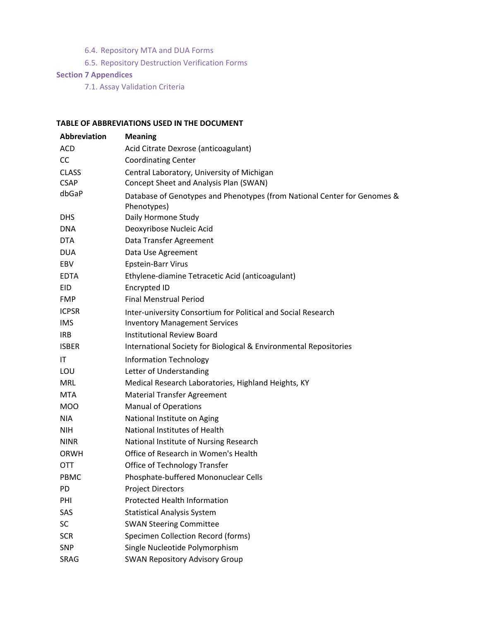- 6.4. Repository MTA and DUA Forms
- 6.5. Repository Destruction Verification Forms

## **Section 7 Appendices**

7.1. Assay Validation Criteria

## **TABLE OF ABBREVIATIONS USED IN THE DOCUMENT**

| <b>Abbreviation</b> | <b>Meaning</b>                                                                          |
|---------------------|-----------------------------------------------------------------------------------------|
| <b>ACD</b>          | Acid Citrate Dexrose (anticoagulant)                                                    |
| <b>CC</b>           | <b>Coordinating Center</b>                                                              |
| <b>CLASS</b>        | Central Laboratory, University of Michigan                                              |
| <b>CSAP</b>         | Concept Sheet and Analysis Plan (SWAN)                                                  |
| dbGaP               | Database of Genotypes and Phenotypes (from National Center for Genomes &<br>Phenotypes) |
| <b>DHS</b>          | Daily Hormone Study                                                                     |
| <b>DNA</b>          | Deoxyribose Nucleic Acid                                                                |
| <b>DTA</b>          | Data Transfer Agreement                                                                 |
| <b>DUA</b>          | Data Use Agreement                                                                      |
| EBV                 | Epstein-Barr Virus                                                                      |
| <b>EDTA</b>         | Ethylene-diamine Tetracetic Acid (anticoagulant)                                        |
| EID                 | Encrypted ID                                                                            |
| <b>FMP</b>          | <b>Final Menstrual Period</b>                                                           |
| <b>ICPSR</b>        | Inter-university Consortium for Political and Social Research                           |
| <b>IMS</b>          | <b>Inventory Management Services</b>                                                    |
| <b>IRB</b>          | <b>Institutional Review Board</b>                                                       |
| <b>ISBER</b>        | International Society for Biological & Environmental Repositories                       |
| IT                  | <b>Information Technology</b>                                                           |
| LOU                 | Letter of Understanding                                                                 |
| <b>MRL</b>          | Medical Research Laboratories, Highland Heights, KY                                     |
| <b>MTA</b>          | <b>Material Transfer Agreement</b>                                                      |
| <b>MOO</b>          | <b>Manual of Operations</b>                                                             |
| <b>NIA</b>          | National Institute on Aging                                                             |
| <b>NIH</b>          | National Institutes of Health                                                           |
| <b>NINR</b>         | National Institute of Nursing Research                                                  |
| <b>ORWH</b>         | Office of Research in Women's Health                                                    |
| <b>OTT</b>          | Office of Technology Transfer                                                           |
| PBMC                | Phosphate-buffered Mononuclear Cells                                                    |
| PD                  | <b>Project Directors</b>                                                                |
| PHI                 | <b>Protected Health Information</b>                                                     |
| SAS                 | <b>Statistical Analysis System</b>                                                      |
| <b>SC</b>           | <b>SWAN Steering Committee</b>                                                          |
| <b>SCR</b>          | Specimen Collection Record (forms)                                                      |
| SNP                 | Single Nucleotide Polymorphism                                                          |
| SRAG                | <b>SWAN Repository Advisory Group</b>                                                   |